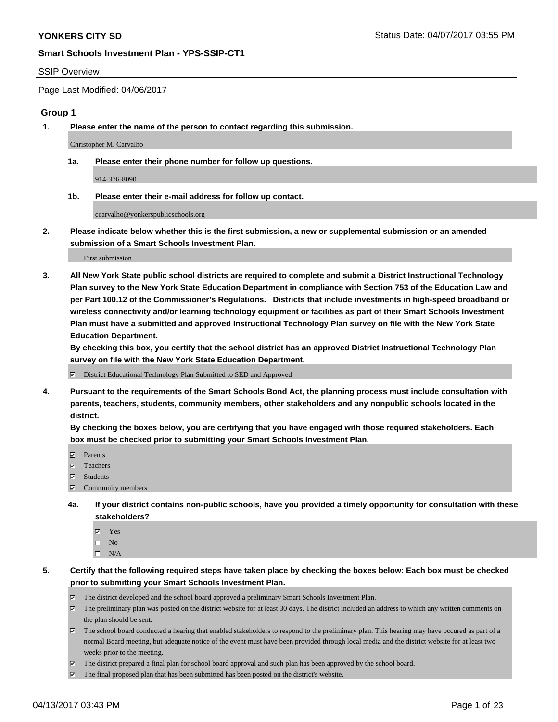### SSIP Overview

Page Last Modified: 04/06/2017

### **Group 1**

**1. Please enter the name of the person to contact regarding this submission.**

Christopher M. Carvalho

**1a. Please enter their phone number for follow up questions.**

914-376-8090

**1b. Please enter their e-mail address for follow up contact.**

ccarvalho@yonkerspublicschools.org

**2. Please indicate below whether this is the first submission, a new or supplemental submission or an amended submission of a Smart Schools Investment Plan.**

First submission

**3. All New York State public school districts are required to complete and submit a District Instructional Technology Plan survey to the New York State Education Department in compliance with Section 753 of the Education Law and per Part 100.12 of the Commissioner's Regulations. Districts that include investments in high-speed broadband or wireless connectivity and/or learning technology equipment or facilities as part of their Smart Schools Investment Plan must have a submitted and approved Instructional Technology Plan survey on file with the New York State Education Department.** 

**By checking this box, you certify that the school district has an approved District Instructional Technology Plan survey on file with the New York State Education Department.**

District Educational Technology Plan Submitted to SED and Approved

**4. Pursuant to the requirements of the Smart Schools Bond Act, the planning process must include consultation with parents, teachers, students, community members, other stakeholders and any nonpublic schools located in the district.** 

**By checking the boxes below, you are certifying that you have engaged with those required stakeholders. Each box must be checked prior to submitting your Smart Schools Investment Plan.**

- **マ** Parents
- □ Teachers
- Students
- $\Xi$  Community members
- **4a. If your district contains non-public schools, have you provided a timely opportunity for consultation with these stakeholders?**
	- Yes
	- $\hfill \square$  No
	- $\square$  N/A
- **5. Certify that the following required steps have taken place by checking the boxes below: Each box must be checked prior to submitting your Smart Schools Investment Plan.**
	- The district developed and the school board approved a preliminary Smart Schools Investment Plan.
	- $\boxtimes$  The preliminary plan was posted on the district website for at least 30 days. The district included an address to which any written comments on the plan should be sent.
	- $\boxtimes$  The school board conducted a hearing that enabled stakeholders to respond to the preliminary plan. This hearing may have occured as part of a normal Board meeting, but adequate notice of the event must have been provided through local media and the district website for at least two weeks prior to the meeting.
	- The district prepared a final plan for school board approval and such plan has been approved by the school board.
	- $\boxtimes$  The final proposed plan that has been submitted has been posted on the district's website.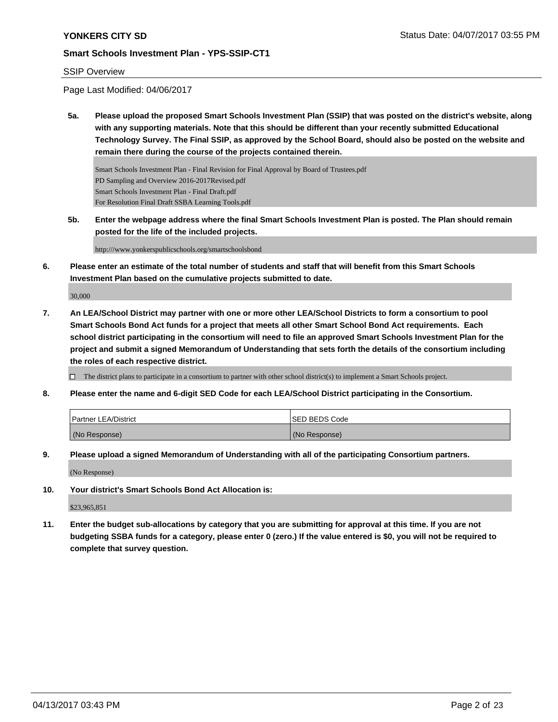## SSIP Overview

Page Last Modified: 04/06/2017

**5a. Please upload the proposed Smart Schools Investment Plan (SSIP) that was posted on the district's website, along with any supporting materials. Note that this should be different than your recently submitted Educational Technology Survey. The Final SSIP, as approved by the School Board, should also be posted on the website and remain there during the course of the projects contained therein.**

Smart Schools Investment Plan - Final Revision for Final Approval by Board of Trustees.pdf PD Sampling and Overview 2016-2017Revised.pdf Smart Schools Investment Plan - Final Draft.pdf For Resolution Final Draft SSBA Learning Tools.pdf

**5b. Enter the webpage address where the final Smart Schools Investment Plan is posted. The Plan should remain posted for the life of the included projects.**

http:///www.yonkerspublicschools.org/smartschoolsbond

**6. Please enter an estimate of the total number of students and staff that will benefit from this Smart Schools Investment Plan based on the cumulative projects submitted to date.**

30,000

**7. An LEA/School District may partner with one or more other LEA/School Districts to form a consortium to pool Smart Schools Bond Act funds for a project that meets all other Smart School Bond Act requirements. Each school district participating in the consortium will need to file an approved Smart Schools Investment Plan for the project and submit a signed Memorandum of Understanding that sets forth the details of the consortium including the roles of each respective district.**

 $\Box$  The district plans to participate in a consortium to partner with other school district(s) to implement a Smart Schools project.

**8. Please enter the name and 6-digit SED Code for each LEA/School District participating in the Consortium.**

| <b>Partner LEA/District</b> | <b>ISED BEDS Code</b> |
|-----------------------------|-----------------------|
| (No Response)               | (No Response)         |

**9. Please upload a signed Memorandum of Understanding with all of the participating Consortium partners.**

(No Response)

**10. Your district's Smart Schools Bond Act Allocation is:**

\$23,965,851

**11. Enter the budget sub-allocations by category that you are submitting for approval at this time. If you are not budgeting SSBA funds for a category, please enter 0 (zero.) If the value entered is \$0, you will not be required to complete that survey question.**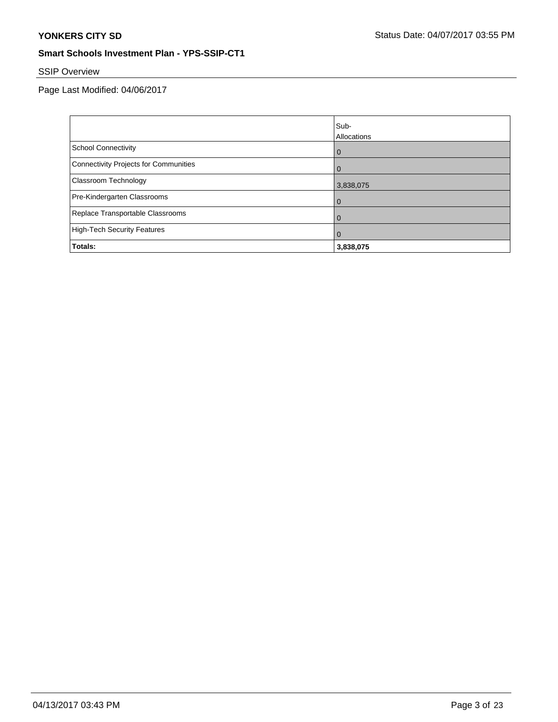# SSIP Overview

Page Last Modified: 04/06/2017

|                                       | Sub-           |
|---------------------------------------|----------------|
|                                       | Allocations    |
| School Connectivity                   | l 0            |
| Connectivity Projects for Communities | $\overline{0}$ |
| <b>Classroom Technology</b>           | 3,838,075      |
| Pre-Kindergarten Classrooms           | $\overline{0}$ |
| Replace Transportable Classrooms      | $\overline{0}$ |
| High-Tech Security Features           | $\Omega$       |
| Totals:                               | 3,838,075      |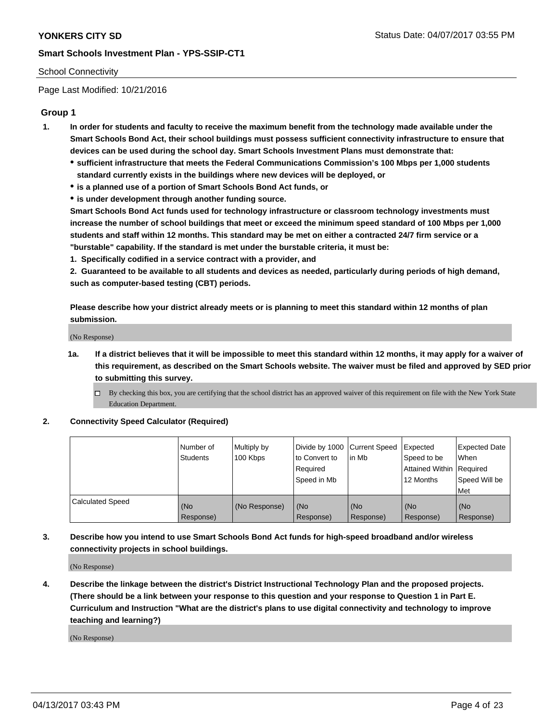## School Connectivity

Page Last Modified: 10/21/2016

## **Group 1**

- **1. In order for students and faculty to receive the maximum benefit from the technology made available under the Smart Schools Bond Act, their school buildings must possess sufficient connectivity infrastructure to ensure that devices can be used during the school day. Smart Schools Investment Plans must demonstrate that:**
	- **sufficient infrastructure that meets the Federal Communications Commission's 100 Mbps per 1,000 students standard currently exists in the buildings where new devices will be deployed, or**
	- **is a planned use of a portion of Smart Schools Bond Act funds, or**
	- **is under development through another funding source.**

**Smart Schools Bond Act funds used for technology infrastructure or classroom technology investments must increase the number of school buildings that meet or exceed the minimum speed standard of 100 Mbps per 1,000 students and staff within 12 months. This standard may be met on either a contracted 24/7 firm service or a "burstable" capability. If the standard is met under the burstable criteria, it must be:**

**1. Specifically codified in a service contract with a provider, and**

**2. Guaranteed to be available to all students and devices as needed, particularly during periods of high demand, such as computer-based testing (CBT) periods.**

**Please describe how your district already meets or is planning to meet this standard within 12 months of plan submission.**

(No Response)

- **1a. If a district believes that it will be impossible to meet this standard within 12 months, it may apply for a waiver of this requirement, as described on the Smart Schools website. The waiver must be filed and approved by SED prior to submitting this survey.**
	- By checking this box, you are certifying that the school district has an approved waiver of this requirement on file with the New York State Education Department.

### **2. Connectivity Speed Calculator (Required)**

|                         | l Number of<br><b>Students</b> | Multiply by<br>100 Kbps | Divide by 1000   Current Speed<br>to Convert to<br>Required<br>l Speed in Mb | in Mb            | Expected<br>Speed to be<br>Attained Within Required<br>12 Months | <b>Expected Date</b><br>When<br>Speed Will be<br><b>Met</b> |
|-------------------------|--------------------------------|-------------------------|------------------------------------------------------------------------------|------------------|------------------------------------------------------------------|-------------------------------------------------------------|
| <b>Calculated Speed</b> | (No<br>Response)               | (No Response)           | (No<br>Response)                                                             | (No<br>Response) | (No<br>Response)                                                 | l (No<br>Response)                                          |

## **3. Describe how you intend to use Smart Schools Bond Act funds for high-speed broadband and/or wireless connectivity projects in school buildings.**

(No Response)

**4. Describe the linkage between the district's District Instructional Technology Plan and the proposed projects. (There should be a link between your response to this question and your response to Question 1 in Part E. Curriculum and Instruction "What are the district's plans to use digital connectivity and technology to improve teaching and learning?)**

(No Response)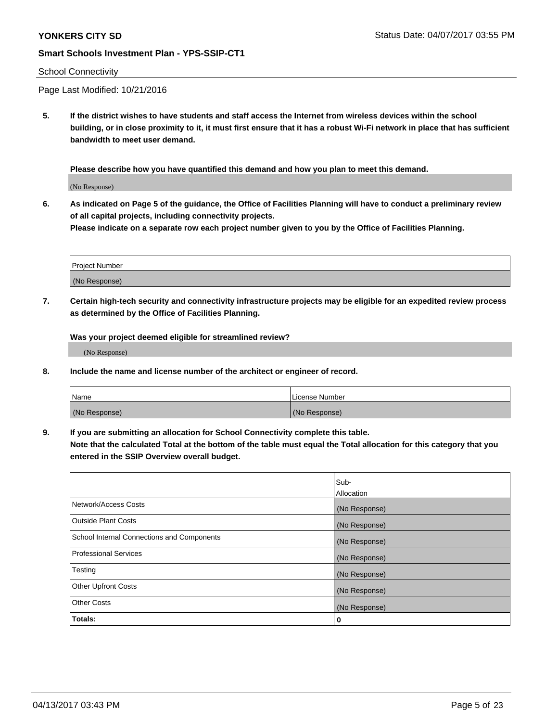### School Connectivity

Page Last Modified: 10/21/2016

**5. If the district wishes to have students and staff access the Internet from wireless devices within the school building, or in close proximity to it, it must first ensure that it has a robust Wi-Fi network in place that has sufficient bandwidth to meet user demand.**

**Please describe how you have quantified this demand and how you plan to meet this demand.**

(No Response)

**6. As indicated on Page 5 of the guidance, the Office of Facilities Planning will have to conduct a preliminary review of all capital projects, including connectivity projects.**

**Please indicate on a separate row each project number given to you by the Office of Facilities Planning.**

| Project Number |  |
|----------------|--|
|                |  |
| (No Response)  |  |

**7. Certain high-tech security and connectivity infrastructure projects may be eligible for an expedited review process as determined by the Office of Facilities Planning.**

**Was your project deemed eligible for streamlined review?**

(No Response)

**8. Include the name and license number of the architect or engineer of record.**

| Name          | License Number |
|---------------|----------------|
| (No Response) | (No Response)  |

**9. If you are submitting an allocation for School Connectivity complete this table.**

**Note that the calculated Total at the bottom of the table must equal the Total allocation for this category that you entered in the SSIP Overview overall budget.** 

|                                            | Sub-          |
|--------------------------------------------|---------------|
|                                            | Allocation    |
| Network/Access Costs                       | (No Response) |
| <b>Outside Plant Costs</b>                 | (No Response) |
| School Internal Connections and Components | (No Response) |
| <b>Professional Services</b>               | (No Response) |
| Testing                                    | (No Response) |
| <b>Other Upfront Costs</b>                 | (No Response) |
| <b>Other Costs</b>                         | (No Response) |
| Totals:                                    | 0             |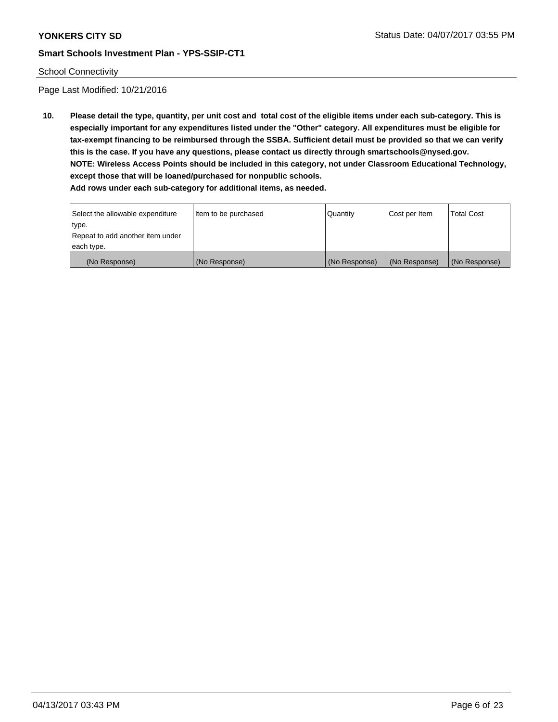## School Connectivity

Page Last Modified: 10/21/2016

**10. Please detail the type, quantity, per unit cost and total cost of the eligible items under each sub-category. This is especially important for any expenditures listed under the "Other" category. All expenditures must be eligible for tax-exempt financing to be reimbursed through the SSBA. Sufficient detail must be provided so that we can verify this is the case. If you have any questions, please contact us directly through smartschools@nysed.gov. NOTE: Wireless Access Points should be included in this category, not under Classroom Educational Technology, except those that will be loaned/purchased for nonpublic schools.**

| Select the allowable expenditure | Item to be purchased | Quantity      | Cost per Item | Total Cost    |
|----------------------------------|----------------------|---------------|---------------|---------------|
| type.                            |                      |               |               |               |
| Repeat to add another item under |                      |               |               |               |
| each type.                       |                      |               |               |               |
| (No Response)                    | (No Response)        | (No Response) | (No Response) | (No Response) |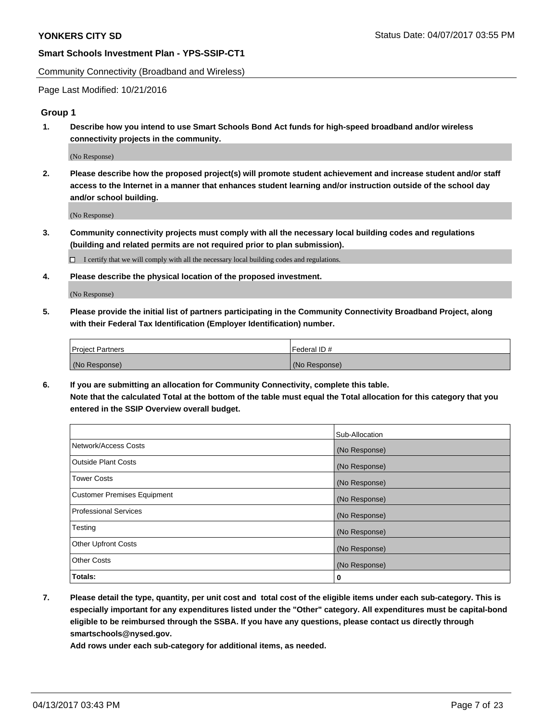Community Connectivity (Broadband and Wireless)

Page Last Modified: 10/21/2016

## **Group 1**

**1. Describe how you intend to use Smart Schools Bond Act funds for high-speed broadband and/or wireless connectivity projects in the community.**

(No Response)

**2. Please describe how the proposed project(s) will promote student achievement and increase student and/or staff access to the Internet in a manner that enhances student learning and/or instruction outside of the school day and/or school building.**

(No Response)

**3. Community connectivity projects must comply with all the necessary local building codes and regulations (building and related permits are not required prior to plan submission).**

 $\Box$  I certify that we will comply with all the necessary local building codes and regulations.

**4. Please describe the physical location of the proposed investment.**

(No Response)

**5. Please provide the initial list of partners participating in the Community Connectivity Broadband Project, along with their Federal Tax Identification (Employer Identification) number.**

| <b>Project Partners</b> | Federal ID#     |
|-------------------------|-----------------|
| (No Response)           | l (No Response) |

**6. If you are submitting an allocation for Community Connectivity, complete this table. Note that the calculated Total at the bottom of the table must equal the Total allocation for this category that you entered in the SSIP Overview overall budget.**

|                                    | Sub-Allocation |
|------------------------------------|----------------|
| Network/Access Costs               | (No Response)  |
| Outside Plant Costs                | (No Response)  |
| <b>Tower Costs</b>                 | (No Response)  |
| <b>Customer Premises Equipment</b> | (No Response)  |
| <b>Professional Services</b>       | (No Response)  |
| Testing                            | (No Response)  |
| <b>Other Upfront Costs</b>         | (No Response)  |
| <b>Other Costs</b>                 | (No Response)  |
| Totals:                            | 0              |

**7. Please detail the type, quantity, per unit cost and total cost of the eligible items under each sub-category. This is especially important for any expenditures listed under the "Other" category. All expenditures must be capital-bond eligible to be reimbursed through the SSBA. If you have any questions, please contact us directly through smartschools@nysed.gov.**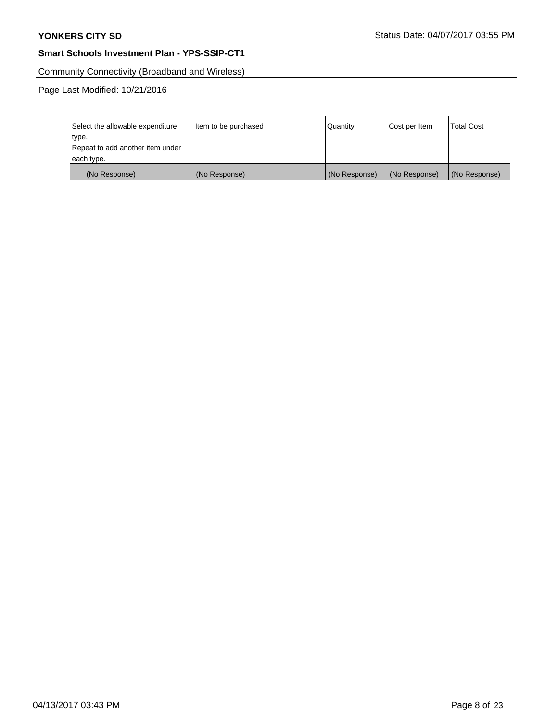Community Connectivity (Broadband and Wireless)

Page Last Modified: 10/21/2016

| Select the allowable expenditure | Item to be purchased | Quantity      | Cost per Item | <b>Total Cost</b> |
|----------------------------------|----------------------|---------------|---------------|-------------------|
| type.                            |                      |               |               |                   |
| Repeat to add another item under |                      |               |               |                   |
| each type.                       |                      |               |               |                   |
| (No Response)                    | (No Response)        | (No Response) | (No Response) | (No Response)     |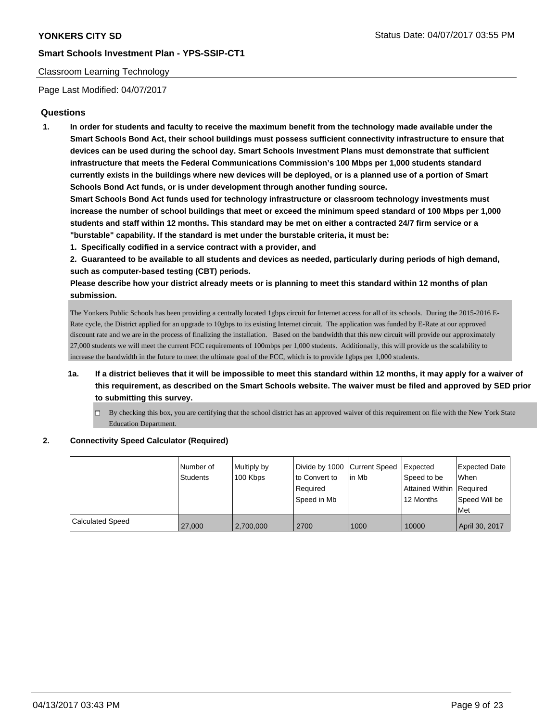## Classroom Learning Technology

Page Last Modified: 04/07/2017

## **Questions**

**1. In order for students and faculty to receive the maximum benefit from the technology made available under the Smart Schools Bond Act, their school buildings must possess sufficient connectivity infrastructure to ensure that devices can be used during the school day. Smart Schools Investment Plans must demonstrate that sufficient infrastructure that meets the Federal Communications Commission's 100 Mbps per 1,000 students standard currently exists in the buildings where new devices will be deployed, or is a planned use of a portion of Smart Schools Bond Act funds, or is under development through another funding source.**

**Smart Schools Bond Act funds used for technology infrastructure or classroom technology investments must increase the number of school buildings that meet or exceed the minimum speed standard of 100 Mbps per 1,000 students and staff within 12 months. This standard may be met on either a contracted 24/7 firm service or a "burstable" capability. If the standard is met under the burstable criteria, it must be:**

**1. Specifically codified in a service contract with a provider, and**

**2. Guaranteed to be available to all students and devices as needed, particularly during periods of high demand, such as computer-based testing (CBT) periods.**

**Please describe how your district already meets or is planning to meet this standard within 12 months of plan submission.**

The Yonkers Public Schools has been providing a centrally located 1gbps circuit for Internet access for all of its schools. During the 2015-2016 E-Rate cycle, the District applied for an upgrade to 10gbps to its existing Internet circuit. The application was funded by E-Rate at our approved discount rate and we are in the process of finalizing the installation. Based on the bandwidth that this new circuit will provide our approximately 27,000 students we will meet the current FCC requirements of 100mbps per 1,000 students. Additionally, this will provide us the scalability to increase the bandwidth in the future to meet the ultimate goal of the FCC, which is to provide 1gbps per 1,000 students.

- **1a. If a district believes that it will be impossible to meet this standard within 12 months, it may apply for a waiver of this requirement, as described on the Smart Schools website. The waiver must be filed and approved by SED prior to submitting this survey.**
	- $\Box$  By checking this box, you are certifying that the school district has an approved waiver of this requirement on file with the New York State Education Department.

### **2. Connectivity Speed Calculator (Required)**

|                  | Number of<br><b>Students</b> | Multiply by<br>100 Kbps | Divide by 1000 Current Speed<br>to Convert to<br>Required<br>Speed in Mb | lin Mb | Expected<br>Speed to be<br>Attained Within Required<br>12 Months | <b>Expected Date</b><br>When<br>Speed Will be<br><b>Met</b> |
|------------------|------------------------------|-------------------------|--------------------------------------------------------------------------|--------|------------------------------------------------------------------|-------------------------------------------------------------|
| Calculated Speed | 27,000                       | 2,700,000               | 2700                                                                     | 1000   | 10000                                                            | April 30, 2017                                              |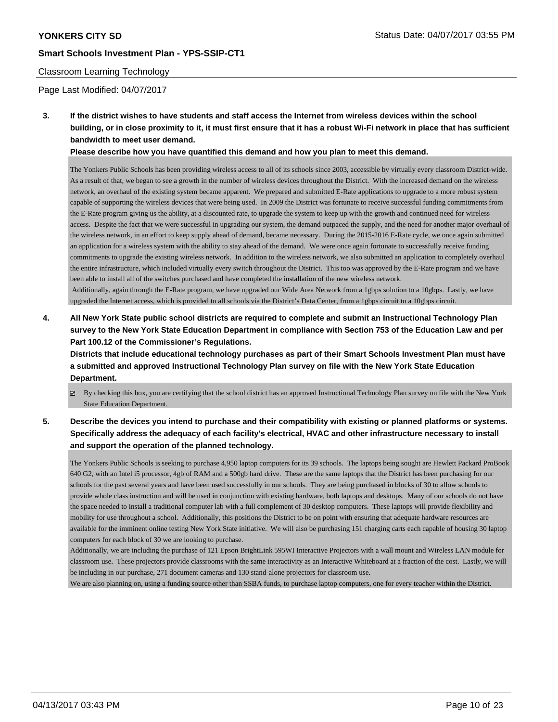### Classroom Learning Technology

Page Last Modified: 04/07/2017

**3. If the district wishes to have students and staff access the Internet from wireless devices within the school building, or in close proximity to it, it must first ensure that it has a robust Wi-Fi network in place that has sufficient bandwidth to meet user demand.**

**Please describe how you have quantified this demand and how you plan to meet this demand.**

The Yonkers Public Schools has been providing wireless access to all of its schools since 2003, accessible by virtually every classroom District-wide. As a result of that, we began to see a growth in the number of wireless devices throughout the District. With the increased demand on the wireless network, an overhaul of the existing system became apparent. We prepared and submitted E-Rate applications to upgrade to a more robust system capable of supporting the wireless devices that were being used. In 2009 the District was fortunate to receive successful funding commitments from the E-Rate program giving us the ability, at a discounted rate, to upgrade the system to keep up with the growth and continued need for wireless access. Despite the fact that we were successful in upgrading our system, the demand outpaced the supply, and the need for another major overhaul of the wireless network, in an effort to keep supply ahead of demand, became necessary. During the 2015-2016 E-Rate cycle, we once again submitted an application for a wireless system with the ability to stay ahead of the demand. We were once again fortunate to successfully receive funding commitments to upgrade the existing wireless network. In addition to the wireless network, we also submitted an application to completely overhaul the entire infrastructure, which included virtually every switch throughout the District. This too was approved by the E-Rate program and we have been able to install all of the switches purchased and have completed the installation of the new wireless network.

 Additionally, again through the E-Rate program, we have upgraded our Wide Area Network from a 1gbps solution to a 10gbps. Lastly, we have upgraded the Internet access, which is provided to all schools via the District's Data Center, from a 1gbps circuit to a 10gbps circuit.

**4. All New York State public school districts are required to complete and submit an Instructional Technology Plan survey to the New York State Education Department in compliance with Section 753 of the Education Law and per Part 100.12 of the Commissioner's Regulations.**

**Districts that include educational technology purchases as part of their Smart Schools Investment Plan must have a submitted and approved Instructional Technology Plan survey on file with the New York State Education Department.**

- By checking this box, you are certifying that the school district has an approved Instructional Technology Plan survey on file with the New York State Education Department.
- **5. Describe the devices you intend to purchase and their compatibility with existing or planned platforms or systems. Specifically address the adequacy of each facility's electrical, HVAC and other infrastructure necessary to install and support the operation of the planned technology.**

The Yonkers Public Schools is seeking to purchase 4,950 laptop computers for its 39 schools. The laptops being sought are Hewlett Packard ProBook 640 G2, with an Intel i5 processor, 4gb of RAM and a 500gb hard drive. These are the same laptops that the District has been purchasing for our schools for the past several years and have been used successfully in our schools. They are being purchased in blocks of 30 to allow schools to provide whole class instruction and will be used in conjunction with existing hardware, both laptops and desktops. Many of our schools do not have the space needed to install a traditional computer lab with a full complement of 30 desktop computers. These laptops will provide flexibility and mobility for use throughout a school. Additionally, this positions the District to be on point with ensuring that adequate hardware resources are available for the imminent online testing New York State initiative. We will also be purchasing 151 charging carts each capable of housing 30 laptop computers for each block of 30 we are looking to purchase.

Additionally, we are including the purchase of 121 Epson BrightLink 595WI Interactive Projectors with a wall mount and Wireless LAN module for classroom use. These projectors provide classrooms with the same interactivity as an Interactive Whiteboard at a fraction of the cost. Lastly, we will be including in our purchase, 271 document cameras and 130 stand-alone projectors for classroom use.

We are also planning on, using a funding source other than SSBA funds, to purchase laptop computers, one for every teacher within the District.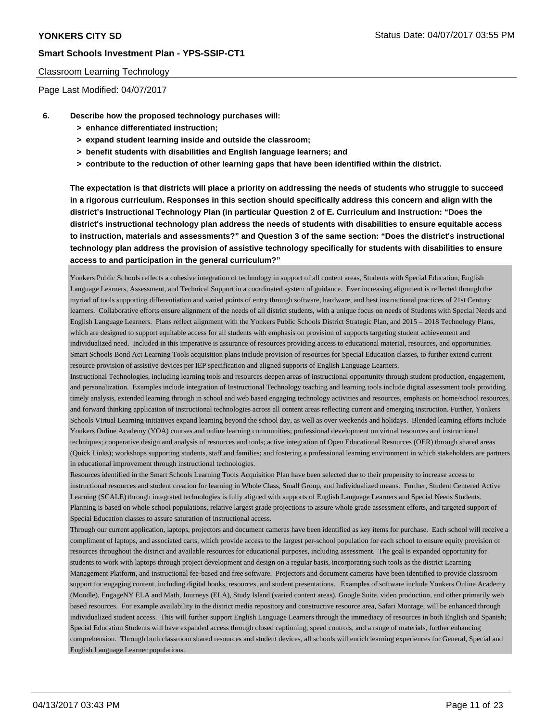### Classroom Learning Technology

Page Last Modified: 04/07/2017

- **6. Describe how the proposed technology purchases will:**
	- **> enhance differentiated instruction;**
	- **> expand student learning inside and outside the classroom;**
	- **> benefit students with disabilities and English language learners; and**
	- **> contribute to the reduction of other learning gaps that have been identified within the district.**

**The expectation is that districts will place a priority on addressing the needs of students who struggle to succeed in a rigorous curriculum. Responses in this section should specifically address this concern and align with the district's Instructional Technology Plan (in particular Question 2 of E. Curriculum and Instruction: "Does the district's instructional technology plan address the needs of students with disabilities to ensure equitable access to instruction, materials and assessments?" and Question 3 of the same section: "Does the district's instructional technology plan address the provision of assistive technology specifically for students with disabilities to ensure access to and participation in the general curriculum?"**

Yonkers Public Schools reflects a cohesive integration of technology in support of all content areas, Students with Special Education, English Language Learners, Assessment, and Technical Support in a coordinated system of guidance. Ever increasing alignment is reflected through the myriad of tools supporting differentiation and varied points of entry through software, hardware, and best instructional practices of 21st Century learners. Collaborative efforts ensure alignment of the needs of all district students, with a unique focus on needs of Students with Special Needs and English Language Learners. Plans reflect alignment with the Yonkers Public Schools District Strategic Plan, and 2015 – 2018 Technology Plans, which are designed to support equitable access for all students with emphasis on provision of supports targeting student achievement and individualized need. Included in this imperative is assurance of resources providing access to educational material, resources, and opportunities. Smart Schools Bond Act Learning Tools acquisition plans include provision of resources for Special Education classes, to further extend current resource provision of assistive devices per IEP specification and aligned supports of English Language Learners.

Instructional Technologies, including learning tools and resources deepen areas of instructional opportunity through student production, engagement, and personalization. Examples include integration of Instructional Technology teaching and learning tools include digital assessment tools providing timely analysis, extended learning through in school and web based engaging technology activities and resources, emphasis on home/school resources, and forward thinking application of instructional technologies across all content areas reflecting current and emerging instruction. Further, Yonkers Schools Virtual Learning initiatives expand learning beyond the school day, as well as over weekends and holidays. Blended learning efforts include Yonkers Online Academy (YOA) courses and online learning communities; professional development on virtual resources and instructional techniques; cooperative design and analysis of resources and tools; active integration of Open Educational Resources (OER) through shared areas (Quick Links); workshops supporting students, staff and families; and fostering a professional learning environment in which stakeholders are partners in educational improvement through instructional technologies.

Resources identified in the Smart Schools Learning Tools Acquisition Plan have been selected due to their propensity to increase access to instructional resources and student creation for learning in Whole Class, Small Group, and Individualized means. Further, Student Centered Active Learning (SCALE) through integrated technologies is fully aligned with supports of English Language Learners and Special Needs Students. Planning is based on whole school populations, relative largest grade projections to assure whole grade assessment efforts, and targeted support of Special Education classes to assure saturation of instructional access.

Through our current application, laptops, projectors and document cameras have been identified as key items for purchase. Each school will receive a compliment of laptops, and associated carts, which provide access to the largest per-school population for each school to ensure equity provision of resources throughout the district and available resources for educational purposes, including assessment. The goal is expanded opportunity for students to work with laptops through project development and design on a regular basis, incorporating such tools as the district Learning Management Platform, and instructional fee-based and free software. Projectors and document cameras have been identified to provide classroom support for engaging content, including digital books, resources, and student presentations. Examples of software include Yonkers Online Academy (Moodle), EngageNY ELA and Math, Journeys (ELA), Study Island (varied content areas), Google Suite, video production, and other primarily web based resources. For example availability to the district media repository and constructive resource area, Safari Montage, will be enhanced through individualized student access. This will further support English Language Learners through the immediacy of resources in both English and Spanish; Special Education Students will have expanded access through closed captioning, speed controls, and a range of materials, further enhancing comprehension. Through both classroom shared resources and student devices, all schools will enrich learning experiences for General, Special and English Language Learner populations.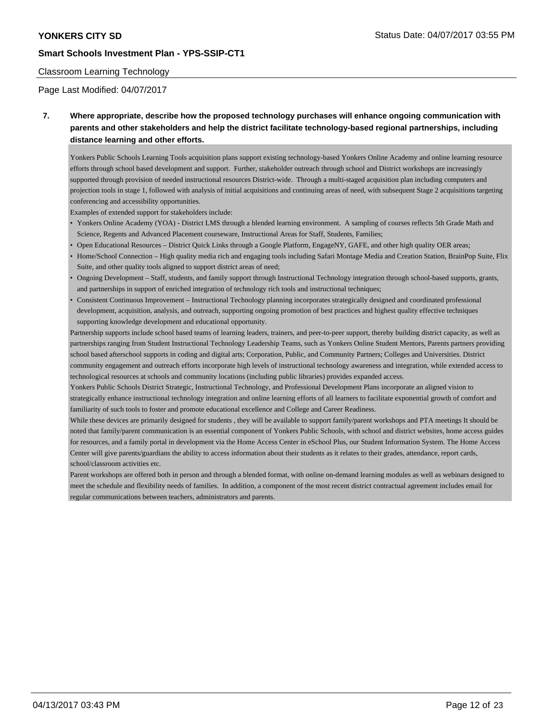## Classroom Learning Technology

Page Last Modified: 04/07/2017

**7. Where appropriate, describe how the proposed technology purchases will enhance ongoing communication with parents and other stakeholders and help the district facilitate technology-based regional partnerships, including distance learning and other efforts.**

Yonkers Public Schools Learning Tools acquisition plans support existing technology-based Yonkers Online Academy and online learning resource efforts through school based development and support. Further, stakeholder outreach through school and District workshops are increasingly supported through provision of needed instructional resources District-wide. Through a multi-staged acquisition plan including computers and projection tools in stage 1, followed with analysis of initial acquisitions and continuing areas of need, with subsequent Stage 2 acquisitions targeting conferencing and accessibility opportunities.

Examples of extended support for stakeholders include:

- Yonkers Online Academy (YOA) District LMS through a blended learning environment. A sampling of courses reflects 5th Grade Math and Science, Regents and Advanced Placement courseware, Instructional Areas for Staff, Students, Families;
- Open Educational Resources District Quick Links through a Google Platform, EngageNY, GAFE, and other high quality OER areas;
- Home/School Connection High quality media rich and engaging tools including Safari Montage Media and Creation Station, BrainPop Suite, Flix Suite, and other quality tools aligned to support district areas of need;
- Ongoing Development Staff, students, and family support through Instructional Technology integration through school-based supports, grants, and partnerships in support of enriched integration of technology rich tools and instructional techniques;
- Consistent Continuous Improvement Instructional Technology planning incorporates strategically designed and coordinated professional development, acquisition, analysis, and outreach, supporting ongoing promotion of best practices and highest quality effective techniques supporting knowledge development and educational opportunity.

Partnership supports include school based teams of learning leaders, trainers, and peer-to-peer support, thereby building district capacity, as well as partnerships ranging from Student Instructional Technology Leadership Teams, such as Yonkers Online Student Mentors, Parents partners providing school based afterschool supports in coding and digital arts; Corporation, Public, and Community Partners; Colleges and Universities. District community engagement and outreach efforts incorporate high levels of instructional technology awareness and integration, while extended access to technological resources at schools and community locations (including public libraries) provides expanded access.

Yonkers Public Schools District Strategic, Instructional Technology, and Professional Development Plans incorporate an aligned vision to strategically enhance instructional technology integration and online learning efforts of all learners to facilitate exponential growth of comfort and familiarity of such tools to foster and promote educational excellence and College and Career Readiness.

While these devices are primarily designed for students , they will be available to support family/parent workshops and PTA meetings It should be noted that family/parent communication is an essential component of Yonkers Public Schools, with school and district websites, home access guides for resources, and a family portal in development via the Home Access Center in eSchool Plus, our Student Information System. The Home Access Center will give parents/guardians the ability to access information about their students as it relates to their grades, attendance, report cards, school/classroom activities etc.

Parent workshops are offered both in person and through a blended format, with online on-demand learning modules as well as webinars designed to meet the schedule and flexibility needs of families. In addition, a component of the most recent district contractual agreement includes email for regular communications between teachers, administrators and parents.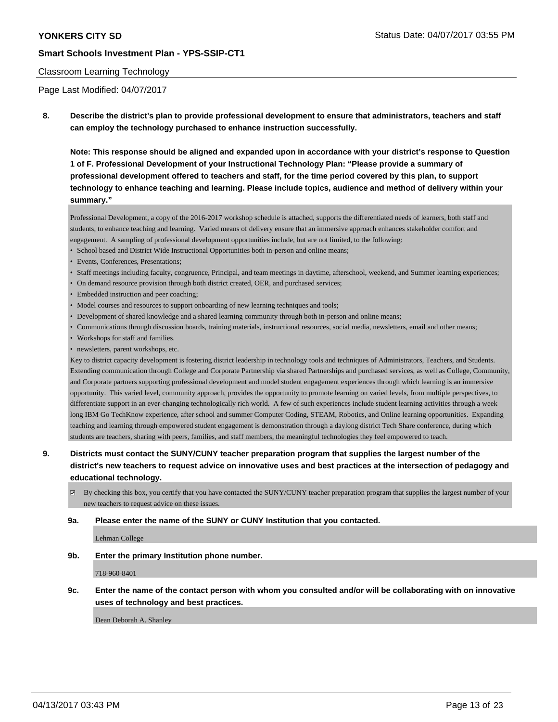### Classroom Learning Technology

Page Last Modified: 04/07/2017

**8. Describe the district's plan to provide professional development to ensure that administrators, teachers and staff can employ the technology purchased to enhance instruction successfully.**

**Note: This response should be aligned and expanded upon in accordance with your district's response to Question 1 of F. Professional Development of your Instructional Technology Plan: "Please provide a summary of professional development offered to teachers and staff, for the time period covered by this plan, to support technology to enhance teaching and learning. Please include topics, audience and method of delivery within your summary."**

Professional Development, a copy of the 2016-2017 workshop schedule is attached, supports the differentiated needs of learners, both staff and students, to enhance teaching and learning. Varied means of delivery ensure that an immersive approach enhances stakeholder comfort and engagement. A sampling of professional development opportunities include, but are not limited, to the following:

- School based and District Wide Instructional Opportunities both in-person and online means;
- Events, Conferences, Presentations;
- Staff meetings including faculty, congruence, Principal, and team meetings in daytime, afterschool, weekend, and Summer learning experiences;
- On demand resource provision through both district created, OER, and purchased services;
- Embedded instruction and peer coaching;
- Model courses and resources to support onboarding of new learning techniques and tools;
- Development of shared knowledge and a shared learning community through both in-person and online means;
- Communications through discussion boards, training materials, instructional resources, social media, newsletters, email and other means;
- Workshops for staff and families.
- newsletters, parent workshops, etc.

Key to district capacity development is fostering district leadership in technology tools and techniques of Administrators, Teachers, and Students. Extending communication through College and Corporate Partnership via shared Partnerships and purchased services, as well as College, Community, and Corporate partners supporting professional development and model student engagement experiences through which learning is an immersive opportunity. This varied level, community approach, provides the opportunity to promote learning on varied levels, from multiple perspectives, to differentiate support in an ever-changing technologically rich world. A few of such experiences include student learning activities through a week long IBM Go TechKnow experience, after school and summer Computer Coding, STEAM, Robotics, and Online learning opportunities. Expanding teaching and learning through empowered student engagement is demonstration through a daylong district Tech Share conference, during which students are teachers, sharing with peers, families, and staff members, the meaningful technologies they feel empowered to teach.

## **9. Districts must contact the SUNY/CUNY teacher preparation program that supplies the largest number of the district's new teachers to request advice on innovative uses and best practices at the intersection of pedagogy and educational technology.**

 $\boxtimes$  By checking this box, you certify that you have contacted the SUNY/CUNY teacher preparation program that supplies the largest number of your new teachers to request advice on these issues.

#### **9a. Please enter the name of the SUNY or CUNY Institution that you contacted.**

Lehman College

**9b. Enter the primary Institution phone number.**

718-960-8401

## **9c. Enter the name of the contact person with whom you consulted and/or will be collaborating with on innovative uses of technology and best practices.**

Dean Deborah A. Shanley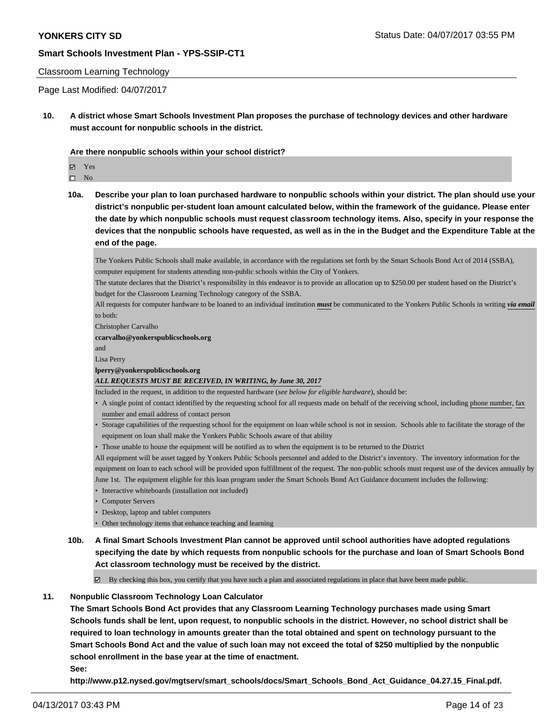#### Classroom Learning Technology

Page Last Modified: 04/07/2017

**10. A district whose Smart Schools Investment Plan proposes the purchase of technology devices and other hardware must account for nonpublic schools in the district.**

**Are there nonpublic schools within your school district?**

Yes

 $\hfill \square$  No

**10a. Describe your plan to loan purchased hardware to nonpublic schools within your district. The plan should use your district's nonpublic per-student loan amount calculated below, within the framework of the guidance. Please enter the date by which nonpublic schools must request classroom technology items. Also, specify in your response the devices that the nonpublic schools have requested, as well as in the in the Budget and the Expenditure Table at the end of the page.**

The Yonkers Public Schools shall make available, in accordance with the regulations set forth by the Smart Schools Bond Act of 2014 (SSBA), computer equipment for students attending non-public schools within the City of Yonkers.

The statute declares that the District's responsibility in this endeavor is to provide an allocation up to \$250.00 per student based on the District's budget for the Classroom Learning Technology category of the SSBA.

All requests for computer hardware to be loaned to an individual institution *must* be communicated to the Yonkers Public Schools in writing *via email* to both:

Christopher Carvalho

#### **ccarvalho@yonkerspublicschools.org**

and

#### Lisa Perry

#### **lperry@yonkerspublicschools.org**

#### *ALL REQUESTS MUST BE RECEIVED, IN WRITING, by June 30, 2017*

Included in the request, in addition to the requested hardware (*see below for eligible hardware*), should be:

- A single point of contact identified by the requesting school for all requests made on behalf of the receiving school, including phone number, fax number and email address of contact person
- Storage capabilities of the requesting school for the equipment on loan while school is not in session. Schools able to facilitate the storage of the equipment on loan shall make the Yonkers Public Schools aware of that ability
- Those unable to house the equipment will be notified as to when the equipment is to be returned to the District

All equipment will be asset tagged by Yonkers Public Schools personnel and added to the District's inventory. The inventory information for the equipment on loan to each school will be provided upon fulfillment of the request. The non-public schools must request use of the devices annually by June 1st. The equipment eligible for this loan program under the Smart Schools Bond Act Guidance document includes the following:

- Interactive whiteboards (installation not included)
- Computer Servers
- Desktop, laptop and tablet computers
- Other technology items that enhance teaching and learning
- **10b. A final Smart Schools Investment Plan cannot be approved until school authorities have adopted regulations specifying the date by which requests from nonpublic schools for the purchase and loan of Smart Schools Bond Act classroom technology must be received by the district.**

 $\boxtimes$  By checking this box, you certify that you have such a plan and associated regulations in place that have been made public.

### **11. Nonpublic Classroom Technology Loan Calculator**

**The Smart Schools Bond Act provides that any Classroom Learning Technology purchases made using Smart Schools funds shall be lent, upon request, to nonpublic schools in the district. However, no school district shall be required to loan technology in amounts greater than the total obtained and spent on technology pursuant to the Smart Schools Bond Act and the value of such loan may not exceed the total of \$250 multiplied by the nonpublic school enrollment in the base year at the time of enactment.**

**See:**

**http://www.p12.nysed.gov/mgtserv/smart\_schools/docs/Smart\_Schools\_Bond\_Act\_Guidance\_04.27.15\_Final.pdf.**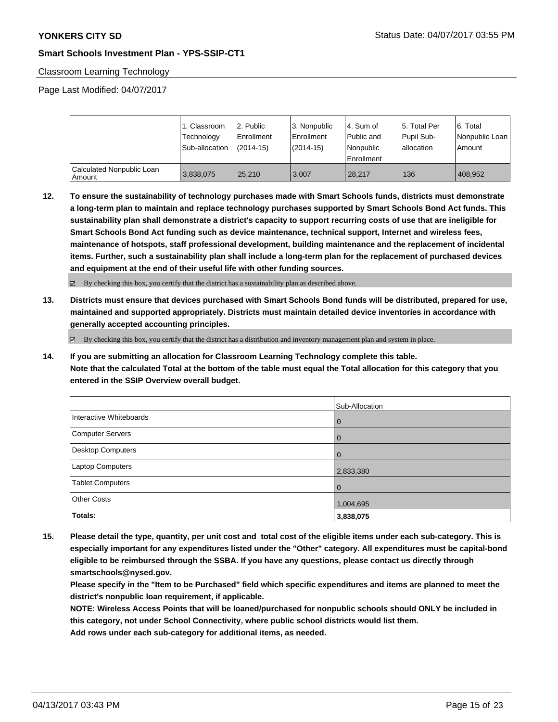## Classroom Learning Technology

Page Last Modified: 04/07/2017

|                                       | 1. Classroom<br>Technology<br>Sub-allocation | 12. Public<br>Enrollment<br>$(2014-15)$ | l 3. Nonpublic<br>Enrollment<br>(2014-15) | l 4. Sum of<br>Public and<br>Nonpublic<br>Enrollment | 15. Total Per<br>Pupil Sub-<br>I allocation | 6. Total<br>  Nonpublic Loan  <br>Amount |
|---------------------------------------|----------------------------------------------|-----------------------------------------|-------------------------------------------|------------------------------------------------------|---------------------------------------------|------------------------------------------|
| Calculated Nonpublic Loan<br>  Amount | 3,838,075                                    | 25.210                                  | 3.007                                     | 28.217                                               | 136                                         | 408.952                                  |

**12. To ensure the sustainability of technology purchases made with Smart Schools funds, districts must demonstrate a long-term plan to maintain and replace technology purchases supported by Smart Schools Bond Act funds. This sustainability plan shall demonstrate a district's capacity to support recurring costs of use that are ineligible for Smart Schools Bond Act funding such as device maintenance, technical support, Internet and wireless fees, maintenance of hotspots, staff professional development, building maintenance and the replacement of incidental items. Further, such a sustainability plan shall include a long-term plan for the replacement of purchased devices and equipment at the end of their useful life with other funding sources.**

By checking this box, you certify that the district has a sustainability plan as described above.

**13. Districts must ensure that devices purchased with Smart Schools Bond funds will be distributed, prepared for use, maintained and supported appropriately. Districts must maintain detailed device inventories in accordance with generally accepted accounting principles.**

 $\boxtimes$  By checking this box, you certify that the district has a distribution and inventory management plan and system in place.

**14. If you are submitting an allocation for Classroom Learning Technology complete this table. Note that the calculated Total at the bottom of the table must equal the Total allocation for this category that you entered in the SSIP Overview overall budget.**

|                         | Sub-Allocation |
|-------------------------|----------------|
| Interactive Whiteboards | l 0            |
| Computer Servers        | l 0            |
| Desktop Computers       | $\overline{0}$ |
| Laptop Computers        | 2,833,380      |
| <b>Tablet Computers</b> | l O            |
| <b>Other Costs</b>      | 1,004,695      |
| Totals:                 | 3,838,075      |

**15. Please detail the type, quantity, per unit cost and total cost of the eligible items under each sub-category. This is especially important for any expenditures listed under the "Other" category. All expenditures must be capital-bond eligible to be reimbursed through the SSBA. If you have any questions, please contact us directly through smartschools@nysed.gov.**

**Please specify in the "Item to be Purchased" field which specific expenditures and items are planned to meet the district's nonpublic loan requirement, if applicable.**

**NOTE: Wireless Access Points that will be loaned/purchased for nonpublic schools should ONLY be included in this category, not under School Connectivity, where public school districts would list them.**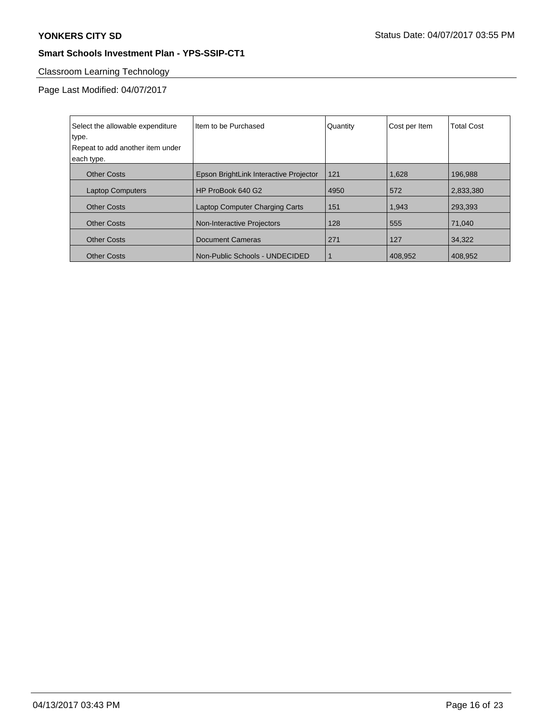# Classroom Learning Technology

Page Last Modified: 04/07/2017

| Select the allowable expenditure | Item to be Purchased                   | Quantity | Cost per Item | <b>Total Cost</b> |
|----------------------------------|----------------------------------------|----------|---------------|-------------------|
| type.                            |                                        |          |               |                   |
| Repeat to add another item under |                                        |          |               |                   |
| each type.                       |                                        |          |               |                   |
| <b>Other Costs</b>               | Epson BrightLink Interactive Projector | 121      | 1,628         | 196,988           |
| <b>Laptop Computers</b>          | HP ProBook 640 G2                      | 4950     | 572           | 2,833,380         |
| <b>Other Costs</b>               | <b>Laptop Computer Charging Carts</b>  | 151      | 1,943         | 293.393           |
| <b>Other Costs</b>               | Non-Interactive Projectors             | 128      | 555           | 71,040            |
| <b>Other Costs</b>               | <b>Document Cameras</b>                | 271      | 127           | 34,322            |
| <b>Other Costs</b>               | Non-Public Schools - UNDECIDED         |          | 408.952       | 408.952           |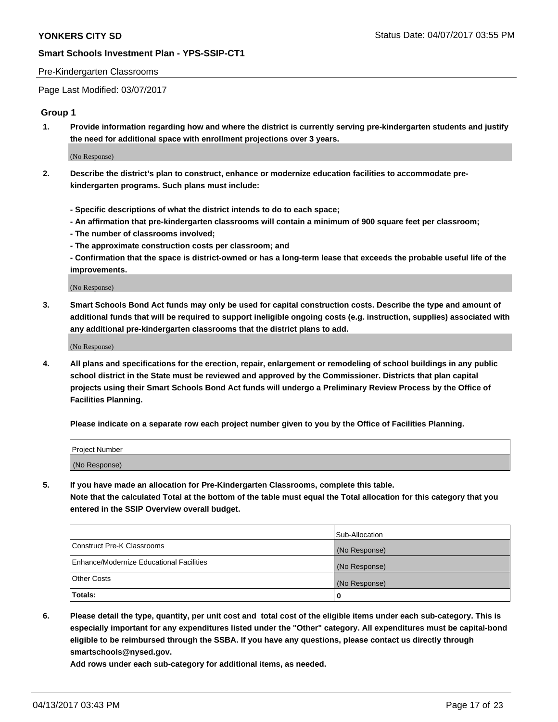### Pre-Kindergarten Classrooms

Page Last Modified: 03/07/2017

## **Group 1**

**1. Provide information regarding how and where the district is currently serving pre-kindergarten students and justify the need for additional space with enrollment projections over 3 years.**

(No Response)

- **2. Describe the district's plan to construct, enhance or modernize education facilities to accommodate prekindergarten programs. Such plans must include:**
	- **Specific descriptions of what the district intends to do to each space;**
	- **An affirmation that pre-kindergarten classrooms will contain a minimum of 900 square feet per classroom;**
	- **The number of classrooms involved;**
	- **The approximate construction costs per classroom; and**
	- **Confirmation that the space is district-owned or has a long-term lease that exceeds the probable useful life of the improvements.**

(No Response)

**3. Smart Schools Bond Act funds may only be used for capital construction costs. Describe the type and amount of additional funds that will be required to support ineligible ongoing costs (e.g. instruction, supplies) associated with any additional pre-kindergarten classrooms that the district plans to add.**

(No Response)

**4. All plans and specifications for the erection, repair, enlargement or remodeling of school buildings in any public school district in the State must be reviewed and approved by the Commissioner. Districts that plan capital projects using their Smart Schools Bond Act funds will undergo a Preliminary Review Process by the Office of Facilities Planning.**

**Please indicate on a separate row each project number given to you by the Office of Facilities Planning.**

| Project Number |  |
|----------------|--|
| (No Response)  |  |

**5. If you have made an allocation for Pre-Kindergarten Classrooms, complete this table. Note that the calculated Total at the bottom of the table must equal the Total allocation for this category that you entered in the SSIP Overview overall budget.**

| Totals:                                  | 0              |
|------------------------------------------|----------------|
| Other Costs                              | (No Response)  |
| Enhance/Modernize Educational Facilities | (No Response)  |
| Construct Pre-K Classrooms               | (No Response)  |
|                                          | Sub-Allocation |

**6. Please detail the type, quantity, per unit cost and total cost of the eligible items under each sub-category. This is especially important for any expenditures listed under the "Other" category. All expenditures must be capital-bond eligible to be reimbursed through the SSBA. If you have any questions, please contact us directly through smartschools@nysed.gov.**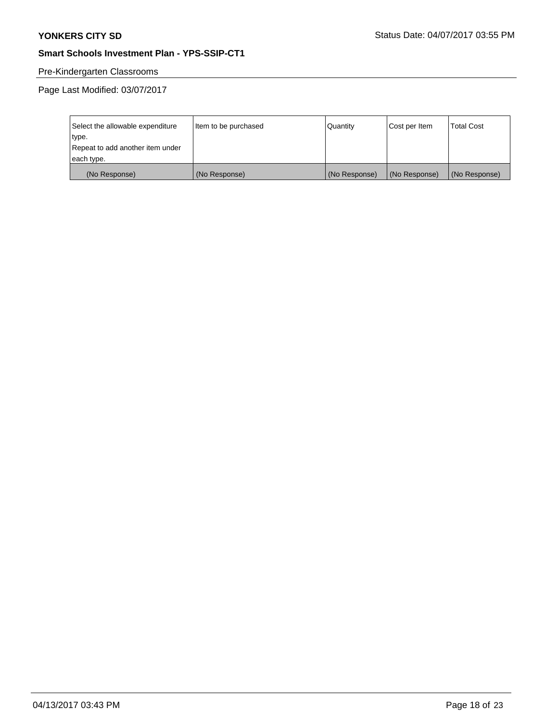## Pre-Kindergarten Classrooms

Page Last Modified: 03/07/2017

| Select the allowable expenditure | Item to be purchased | Quantity      | Cost per Item | <b>Total Cost</b> |
|----------------------------------|----------------------|---------------|---------------|-------------------|
| type.                            |                      |               |               |                   |
| Repeat to add another item under |                      |               |               |                   |
| each type.                       |                      |               |               |                   |
| (No Response)                    | (No Response)        | (No Response) | (No Response) | (No Response)     |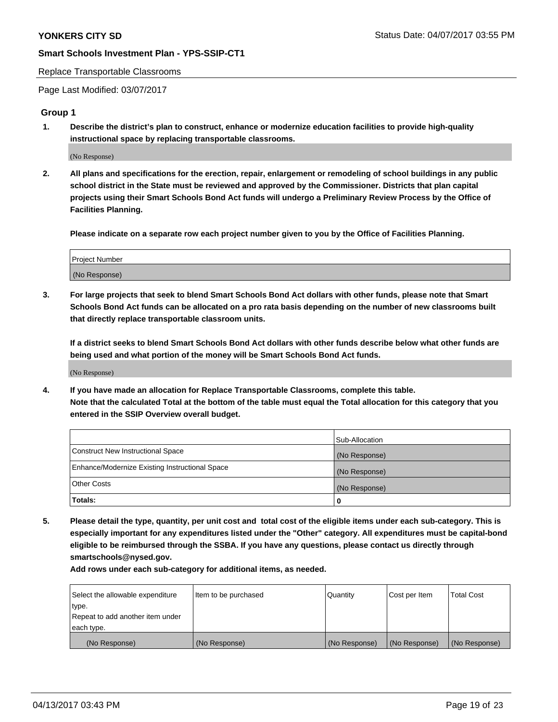#### Replace Transportable Classrooms

Page Last Modified: 03/07/2017

## **Group 1**

**1. Describe the district's plan to construct, enhance or modernize education facilities to provide high-quality instructional space by replacing transportable classrooms.**

(No Response)

**2. All plans and specifications for the erection, repair, enlargement or remodeling of school buildings in any public school district in the State must be reviewed and approved by the Commissioner. Districts that plan capital projects using their Smart Schools Bond Act funds will undergo a Preliminary Review Process by the Office of Facilities Planning.**

**Please indicate on a separate row each project number given to you by the Office of Facilities Planning.**

| Project Number |  |
|----------------|--|
| (No Response)  |  |

**3. For large projects that seek to blend Smart Schools Bond Act dollars with other funds, please note that Smart Schools Bond Act funds can be allocated on a pro rata basis depending on the number of new classrooms built that directly replace transportable classroom units.**

**If a district seeks to blend Smart Schools Bond Act dollars with other funds describe below what other funds are being used and what portion of the money will be Smart Schools Bond Act funds.**

(No Response)

**4. If you have made an allocation for Replace Transportable Classrooms, complete this table. Note that the calculated Total at the bottom of the table must equal the Total allocation for this category that you entered in the SSIP Overview overall budget.**

|                                                | Sub-Allocation |
|------------------------------------------------|----------------|
| Construct New Instructional Space              | (No Response)  |
| Enhance/Modernize Existing Instructional Space | (No Response)  |
| Other Costs                                    | (No Response)  |
| Totals:                                        | $\Omega$       |

**5. Please detail the type, quantity, per unit cost and total cost of the eligible items under each sub-category. This is especially important for any expenditures listed under the "Other" category. All expenditures must be capital-bond eligible to be reimbursed through the SSBA. If you have any questions, please contact us directly through smartschools@nysed.gov.**

| Select the allowable expenditure | Item to be purchased | Quantity      | Cost per Item | <b>Total Cost</b> |
|----------------------------------|----------------------|---------------|---------------|-------------------|
| type.                            |                      |               |               |                   |
| Repeat to add another item under |                      |               |               |                   |
| each type.                       |                      |               |               |                   |
| (No Response)                    | (No Response)        | (No Response) | (No Response) | (No Response)     |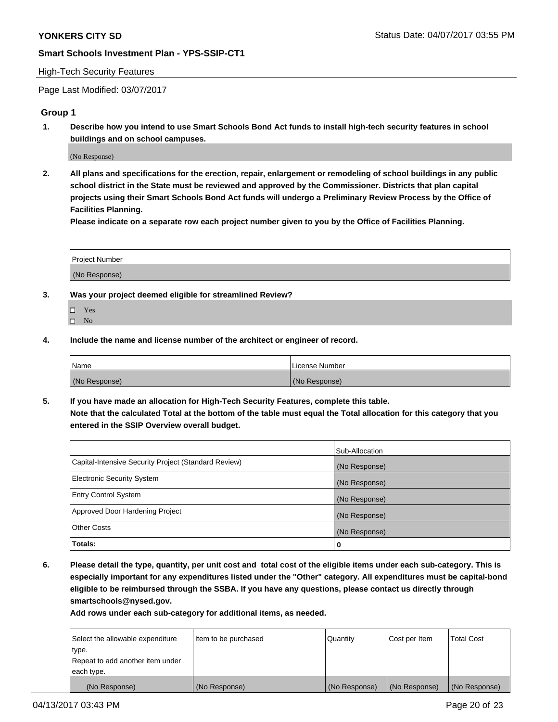### High-Tech Security Features

Page Last Modified: 03/07/2017

## **Group 1**

**1. Describe how you intend to use Smart Schools Bond Act funds to install high-tech security features in school buildings and on school campuses.**

(No Response)

**2. All plans and specifications for the erection, repair, enlargement or remodeling of school buildings in any public school district in the State must be reviewed and approved by the Commissioner. Districts that plan capital projects using their Smart Schools Bond Act funds will undergo a Preliminary Review Process by the Office of Facilities Planning.** 

**Please indicate on a separate row each project number given to you by the Office of Facilities Planning.**

| Project Number |  |
|----------------|--|
|                |  |
| (No Response)  |  |

- **3. Was your project deemed eligible for streamlined Review?**
	- Yes  $\hfill \square$  No
- **4. Include the name and license number of the architect or engineer of record.**

| <b>Name</b>   | License Number |
|---------------|----------------|
| (No Response) | (No Response)  |

**5. If you have made an allocation for High-Tech Security Features, complete this table. Note that the calculated Total at the bottom of the table must equal the Total allocation for this category that you entered in the SSIP Overview overall budget.**

|                                                      | Sub-Allocation |
|------------------------------------------------------|----------------|
| Capital-Intensive Security Project (Standard Review) | (No Response)  |
| Electronic Security System                           | (No Response)  |
| <b>Entry Control System</b>                          | (No Response)  |
| Approved Door Hardening Project                      | (No Response)  |
| <b>Other Costs</b>                                   | (No Response)  |
| Totals:                                              | 0              |

**6. Please detail the type, quantity, per unit cost and total cost of the eligible items under each sub-category. This is especially important for any expenditures listed under the "Other" category. All expenditures must be capital-bond eligible to be reimbursed through the SSBA. If you have any questions, please contact us directly through smartschools@nysed.gov.**

| (No Response)                    | (No Response)        | (No Response) | (No Response) | (No Response)     |
|----------------------------------|----------------------|---------------|---------------|-------------------|
| each type.                       |                      |               |               |                   |
| Repeat to add another item under |                      |               |               |                   |
| type.                            |                      |               |               |                   |
| Select the allowable expenditure | Item to be purchased | Quantity      | Cost per Item | <b>Total Cost</b> |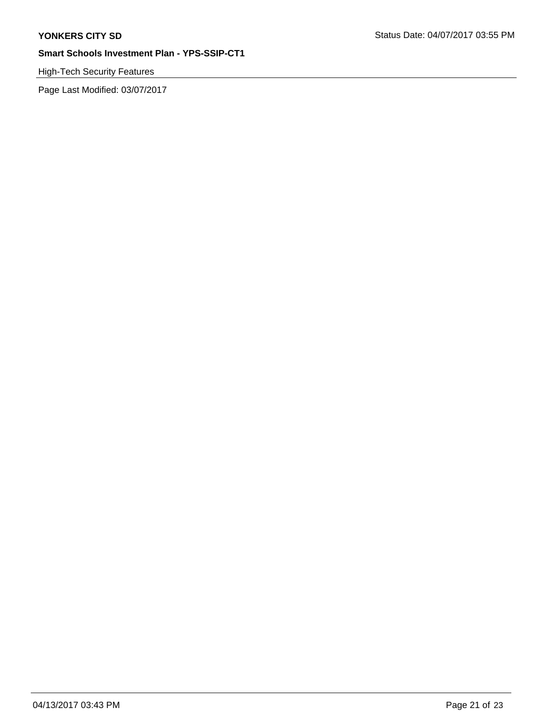# High-Tech Security Features

Page Last Modified: 03/07/2017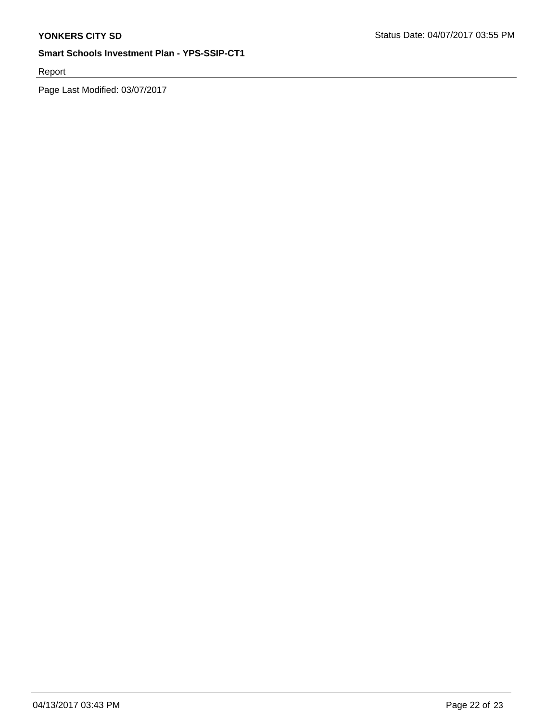Report

Page Last Modified: 03/07/2017